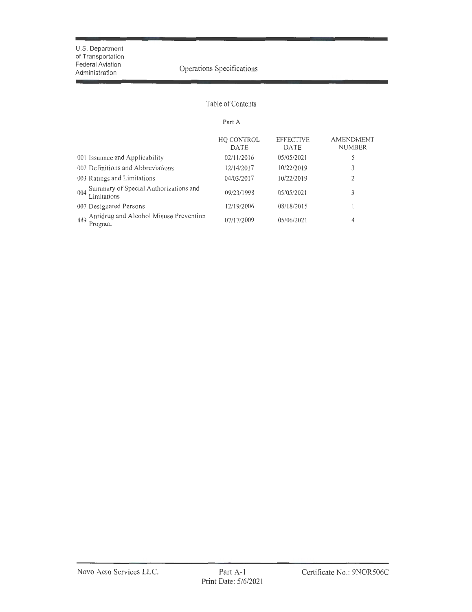r

# Operations Specifications

## Table of Contents

#### Part A

|                                                             | HQ CONTROL<br><b>DATE</b> | <b>EFFECTIVE</b><br><b>DATE</b> | <b>AMENDMENT</b><br><b>NUMBER</b> |
|-------------------------------------------------------------|---------------------------|---------------------------------|-----------------------------------|
| 001 Issuance and Applicability                              | 02/11/2016                | 05/05/2021                      | 5                                 |
| 002 Definitions and Abbreviations                           | 12/14/2017                | 10/22/2019                      | 3                                 |
| 003 Ratings and Limitations                                 | 04/03/2017                | 10/22/2019                      | 2                                 |
| Summary of Special Authorizations and<br>004<br>Limitations | 09/23/1998                | 05/05/2021                      | 3                                 |
| 007 Designated Persons                                      | 12/19/2006                | 08/18/2015                      |                                   |
| Antidrug and Alcohol Misuse Prevention<br>449<br>Program    | 07/17/2009                | 05/06/2021                      | 4                                 |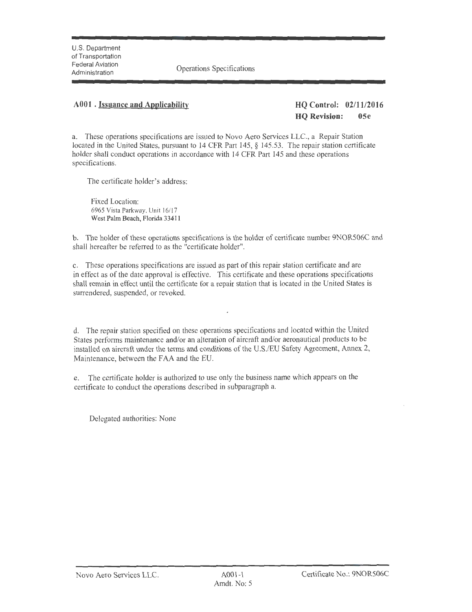**Operations Specifications** 

## **A00l . Issuance and Applicability HQ Control: 02/11/2016**

**HQ Revision: OSe** 

a. These operations specifications are issued to Novo Aero Services LLC., a Repair Station located in the United States, pursuant to 14 CFR Part 145, § 145.53. The repair station certificate holder shall conduct operations in accordance with 14 CFR Part 145 and these operations specifications.

The certificate holder's address:

Fixed Location: 6965 Vista Parkway, Unit 16/17 West Palm Beach, Florida 33411

b. The holder of these operations specifications is the holder of certificate number 9NOR506C and shall hereafter be referred to as the "certificate holder".

c. These operations specifications are issued as part of this repair station certificate and are in effect as of the date approval is effective. This certificate and these operations specifications shall remain in effect until the certificate for a repair station that is located in the United States is surrendered, suspended, or revoked.

d. The repair station specified on these operations specifications and located within the United States perfonns maintenance and/or an alteration of aircraft and/or aeronautical products to be installed on aircraft under the terms and conditions of the U.S./EU Safety Agreement, Annex 2, Maintenance, between the FAA and the EU.

e. The certificate holder is authorized to use only the business name which appears on the certificate to conduct the operations described in subparagraph a.

Delegated authorities: None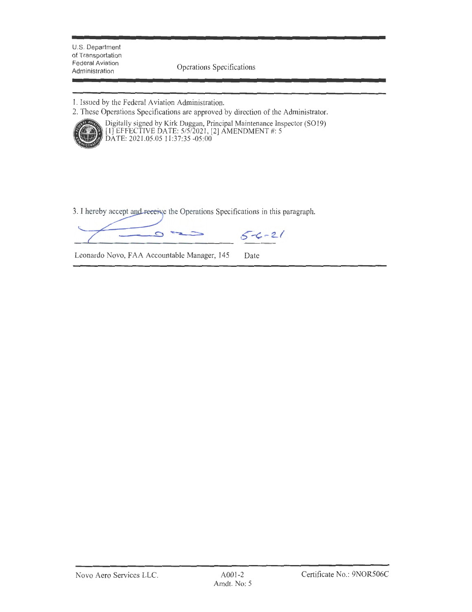Federal Aviation<br>Administration Construction Contractors

1. Issued by the Federal Aviation Administration.

2. These Operations Specifications are approved by direction of the Administrator.



Digitally signed by Kirk Duggan, Principal Maintenance Inspector (SO 19) [I] EFFECTIVE DA TE: 5/5/2021 , [2] AMENDMENT #: 5 DATE: 2021.05.05 11 :37:35 -05:00

3. I hereby accept and receive the Operations Specifications in this paragraph.

 $5 - 21$  $\circ$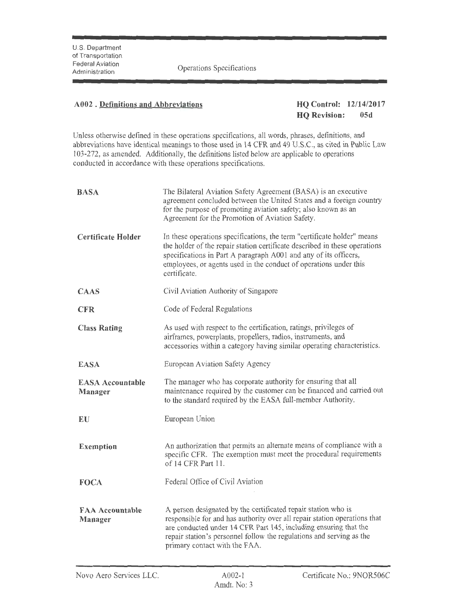## **A002 . Definitions and Abbreviations HQ Control: 12/14/2017**

**HQ Revision: 05d** 

Unless otherwise defined in these operations specifications, all words, phrases, definitions, and abbreviations have identical meanings to those used in 14 CFR and 49 U.S.C., as cited in Public Law 103-272, as amended. Additionally, the definitions listed below are applicable to operations conducted in accordance with these operations specifications.

| <b>BASA</b>                        | The Bilateral Aviation Safety Agreement (BASA) is an executive<br>agreement concluded between the United States and a foreign country<br>for the purpose of promoting aviation safety; also known as an<br>Agreement for the Promotion of Aviation Safety.                                                              |
|------------------------------------|-------------------------------------------------------------------------------------------------------------------------------------------------------------------------------------------------------------------------------------------------------------------------------------------------------------------------|
| <b>Certificate Holder</b>          | In these operations specifications, the term "certificate holder" means<br>the holder of the repair station certificate described in these operations<br>specifications in Part A paragraph A001 and any of its officers,<br>employees, or agents used in the conduct of operations under this<br>certificate.          |
| <b>CAAS</b>                        | Civil Aviation Authority of Singapore                                                                                                                                                                                                                                                                                   |
| <b>CFR</b>                         | Code of Federal Regulations                                                                                                                                                                                                                                                                                             |
| <b>Class Rating</b>                | As used with respect to the certification, ratings, privileges of<br>airframes, powerplants, propellers, radios, instruments, and<br>accessories within a category having similar operating characteristics.                                                                                                            |
| <b>EASA</b>                        | European Aviation Safety Agency                                                                                                                                                                                                                                                                                         |
| <b>EASA Accountable</b><br>Manager | The manager who has corporate authority for ensuring that all<br>maintenance required by the customer can be financed and carried out<br>to the standard required by the EASA full-member Authority.                                                                                                                    |
| EU                                 | European Union                                                                                                                                                                                                                                                                                                          |
| <b>Exemption</b>                   | An authorization that permits an alternate means of compliance with a<br>specific CFR. The exemption must meet the procedural requirements<br>of 14 CFR Part 11.                                                                                                                                                        |
| <b>FOCA</b>                        | Federal Office of Civil Aviation                                                                                                                                                                                                                                                                                        |
| <b>FAA Accountable</b><br>Manager  | A person designated by the certificated repair station who is<br>responsible for and has authority over all repair station operations that<br>are conducted under 14 CFR Part 145, including ensuring that the<br>repair station's personnel follow the regulations and serving as the<br>primary contact with the FAA. |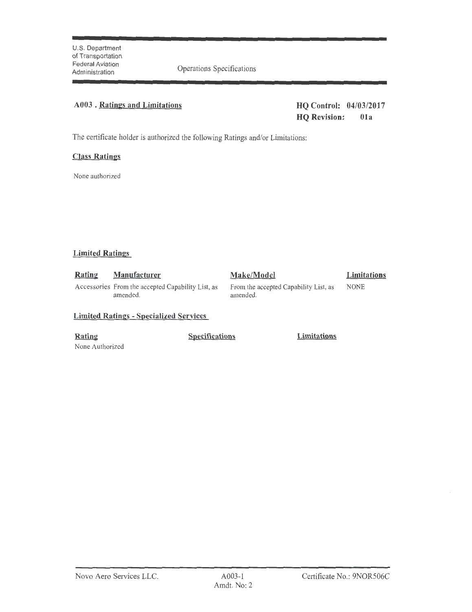## **A003** . **Ratings and Limitations HQ Control: 04/03/2017**

**HQ Revision: Ola** 

The certificate holder is authorized the following Ratings and/or Limitations:

## **Class Ratings**

None authorized

## **Limited Ratings**

| <b>Rating</b> | <b>Manufacturer</b>                                           | Make/Model                                        | Limitations |
|---------------|---------------------------------------------------------------|---------------------------------------------------|-------------|
|               | Accessories From the accepted Capability List, as<br>amended. | From the accepted Capability List, as<br>amended. | <b>NONE</b> |

## **Limited Ratings** - **Specialized Services**

None Authorized

**Rating Specifications Limitations**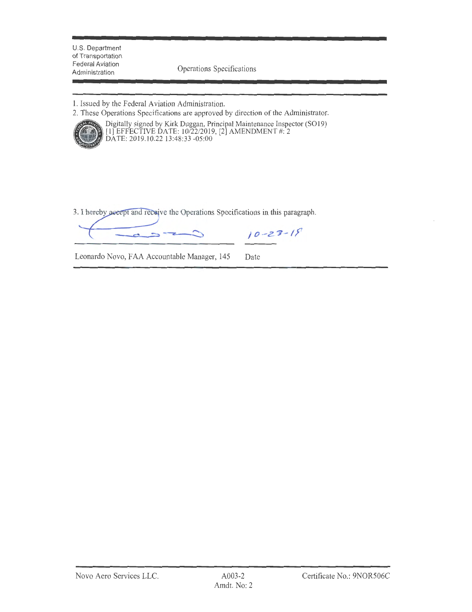Operations Specifications

1. Issued by the Federal Aviation Administration.

2. These Operations Specifications are approved by direction of the Administrator.



Digitally signed by Kirk Duggan, Principal Maintenance Inspector (SO19) [1] EFFECTIVE DATE: 10/22/2019, [2] AMENDMENT #: 2 DATE: 2019.10.22 13 :48:33 -05:00

3. I hereby accept and receive the Operations Specifications in this paragraph.

 $10 - 23 - 19$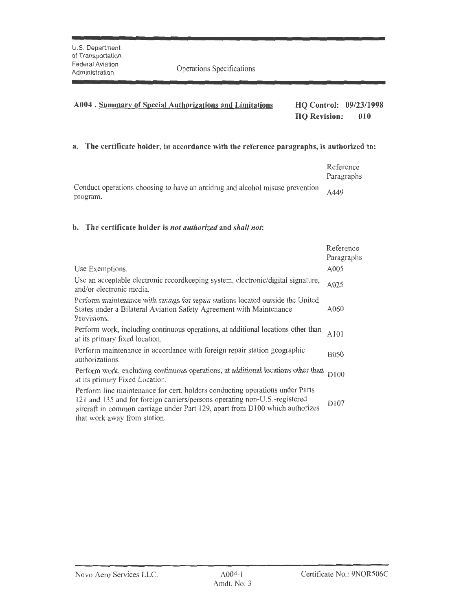# **A004 . Summary of Special Authorizations and Limitations HQ Control: 09/23/1998 . HQ Revision: 010**

## **a. The certificate holder, in accordance with the reference paragraphs, is authorized to:**

|                                                                               | Reference<br>Paragraphs |
|-------------------------------------------------------------------------------|-------------------------|
| Conduct operations choosing to have an antidrug and alcohol misuse prevention | A449                    |
| program.                                                                      |                         |

### **b. The certificate holder is** *not authorized* **and** *shall not:*

|                                                                                                                                                                                                                                                                            | Reference<br>Paragraphs |
|----------------------------------------------------------------------------------------------------------------------------------------------------------------------------------------------------------------------------------------------------------------------------|-------------------------|
| Use Exemptions.                                                                                                                                                                                                                                                            | A005                    |
| Use an acceptable electronic record keeping system, electronic/digital signature,<br>and/or electronic media.                                                                                                                                                              | A025                    |
| Perform maintenance with ratings for repair stations located outside the United<br>States under a Bilateral Aviation Safety Agreement with Maintenance<br>Provisions.                                                                                                      | A060                    |
| Perform work, including continuous operations, at additional locations other than<br>at its primary fixed location.                                                                                                                                                        | A101                    |
| Perform maintenance in accordance with foreign repair station geographic<br>authorizations.                                                                                                                                                                                | <b>B050</b>             |
| Perform work, excluding continuous operations, at additional locations other than<br>at its primary Fixed Location.                                                                                                                                                        | D <sub>100</sub>        |
| Perform line maintenance for cert. holders conducting operations under Parts<br>121 and 135 and for foreign carriers/persons operating non-U.S.-registered<br>aircraft in common carriage under Part 129, apart from D100 which authorizes<br>that work away from station. | D <sub>107</sub>        |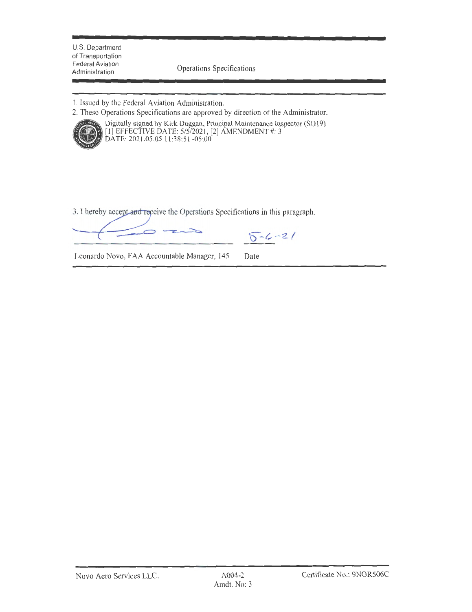U.S. Department of Transportation Federal Aviation<br>Administration

Operations Specifications

**1.** Issued by the Federal Aviation Administration.

2. These Operations Specifications are approved by direction of the Administrator.



Digitally signed by Kirk Duggan, Principal Maintenance Inspector (SO 19) [I] EFFECTIVE DATE: 5/5/2021, [2] AMENDMENT#: 3 DATE: 2021.05.05 11 :38:51 -05:00

3. I hereby accept and receive the Operations Specifications in this paragraph.

**b-l--Z/**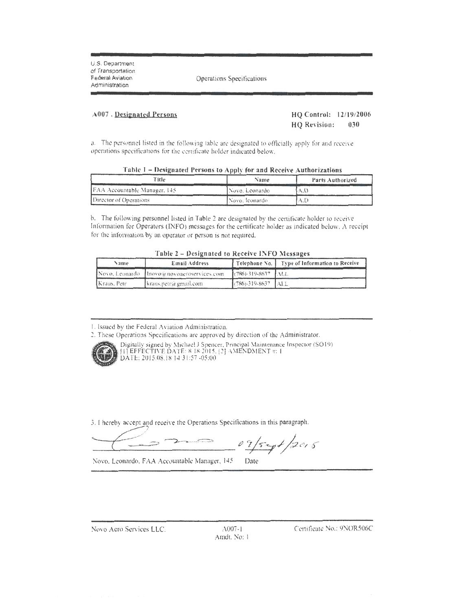U.S. Department of Transportation Federal Aviation Administration

Operations Specifications

#### A007 . Designated Persons

## **HQ Control: 12/19/2006 HQ Revision: 030**

a. The personnel listed in the following table are designated to officially apply for and receive operations spccitica11ons for the certificate holder indicated below.

| Table 1 – Designated Persons to Apply for and Receive Authorizations |  |  |  |  |
|----------------------------------------------------------------------|--|--|--|--|
|                                                                      |  |  |  |  |
|                                                                      |  |  |  |  |

| Title                          | Name              | Parts Authorized |
|--------------------------------|-------------------|------------------|
| [FAA Accountable Manager, 145] | Novo, Leonardo    |                  |
| Director of Operations         | l Novo, Iconardo. |                  |

b. The following personnel listed in Table 2 arc designated by the certificate holder to receive lnfonnarion for Operators (INFO) messages for the certificate holder as indicated below. A reccip1 for the information by an operator or person is not required.

| Table 2 – Designated to Receive INFO Messages |  |
|-----------------------------------------------|--|
|-----------------------------------------------|--|

| Name.        | Email Address                              |                             | [ Telephone No. ] Type of Information to Receive |
|--------------|--------------------------------------------|-----------------------------|--------------------------------------------------|
|              | Novo Leonardo Imovoia novoacroservices.com | [(786)-319-8637   ALL       |                                                  |
| TKraus, Petr | Ikraus.petr@gmail.com                      | $[786) - 319 - 8637$ $[AL]$ |                                                  |

I. Issued by the Federal Aviation Adminisrracion.

2. These Operations Specifications are approved by direction of the Administrator.



Digitally signed by Michael J Spencer, Principal Maintenance Inspector (SO19)  $[1]$  EFFECTIVE DATE: 8 18/2015. [2] AMENDMENT  $\pi$ : l DATE: 2015.08.18 14:31 :57 -05:00

3. I hereby accept and receive the Operations Specifications in this paragraph. (b) accept and receive the Operations Specifications in this paragraph.

Novo. Leonardo, FAA Accountable Manager, 145 Date

Novo Aero Services LLC. :\007-l

Arndt. No: 1

Certificate No.: 9NOR506C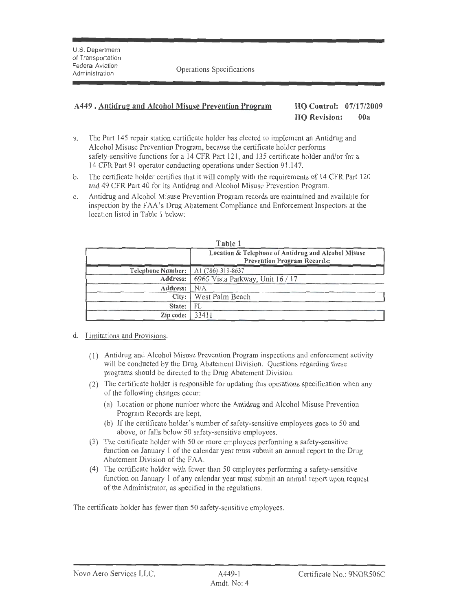## A449 **.** Antidrug and Alcohol Misuse Prevention Program HQ Control: 07/17/2009

# **HQ Revision: 00a**

- a. The Part 145 repair station certificate holder has elected to implement an Antidrug and Alcohol Misuse Prevention Program, because the certificate holder performs safety-sensitive functions for a 14 CFR Part 121, and 135 certificate holder and/or for a 14 CFR Part 91 operator conducting operations under Section 91.147.
- b. The certificate holder certifies that it will comply with the requirements of 14 CFR Part 120 and 49 CFR Part 40 for its Antidrug and Alcohol Misuse Prevention Program.
- c. Antidrug and Alcohol Misuse Prevention Program records are maintained and available for inspection by the FAA's Drug Abatement Compliance and Enforcement Inspectors at the location listed in Table 1 below:

|                                              | <b>LAUIC</b>                                                                              |
|----------------------------------------------|-------------------------------------------------------------------------------------------|
|                                              | Location & Telephone of Antidrug and Alcohol Misuse<br><b>Prevention Program Records:</b> |
| <b>Telephone Number:</b>   A1 (786)-319-8637 |                                                                                           |
|                                              | Address: 6965 Vista Parkway, Unit $16/17$                                                 |
| Address:                                     | N/A                                                                                       |
|                                              | City:   West Palm Beach                                                                   |
| State:                                       | FL                                                                                        |
| Zip code:                                    | 33411                                                                                     |

## **Table 1**

- d. Limitations and Provisions.
	- (I) Antidrng and Alcohol Misuse Prevention Program inspections and enforcement activity will be conducted by the Drug Abatement Division. Questions regarding these programs should be directed to the Drug Abatement Division.
	- (2) The certificate holder is responsible for updating this operations specification when any of the following changes occur:
		- (a) Location or phone number where the Antidrug and Alcohol Misuse Prevention Program Records are kept.
		- (b) If the certificate holder's number of safety-sensitive employees goes to 50 and above, or falls below 50 safety-sensitive employees.
	- (3) The certificate holder with 50 or more employees performing a safety-sensitive function on January I of the calendar year must submit an annual report to the Drug Abatement Division of the FAA.
	- (4) The certificate holder with fewer than 50 employees performing a safety-sensitive function on January 1 of any calendar year must submit an annual report upon request of the Administrator, as specified in the regulations.

The certificate holder has fewer than 50 safety-sensitive employees.